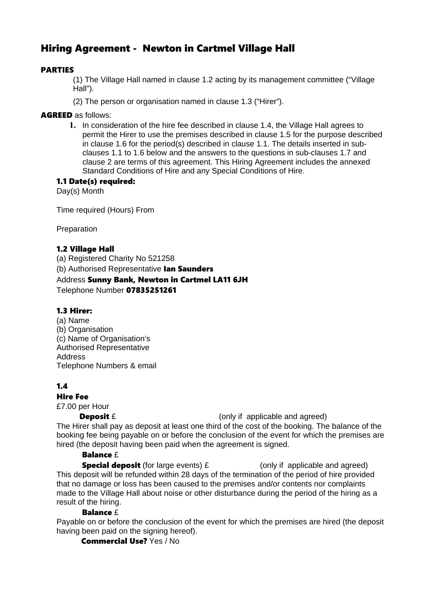# Hiring Agreement - Newton in Cartmel Village Hall

# PARTIES

(1) The Village Hall named in clause 1.2 acting by its management committee ("Village Hall").

(2) The person or organisation named in clause 1.3 ("Hirer").

### AGREED as follows:

**1.** In consideration of the hire fee described in clause 1.4, the Village Hall agrees to permit the Hirer to use the premises described in clause 1.5 for the purpose described in clause 1.6 for the period(s) described in clause 1.1. The details inserted in subclauses 1.1 to 1.6 below and the answers to the questions in sub-clauses 1.7 and clause 2 are terms of this agreement. This Hiring Agreement includes the annexed Standard Conditions of Hire and any Special Conditions of Hire.

### 1.1 Date(s) required:

Day(s) Month

Time required (Hours) From

Preparation

### 1.2 Village Hall

(a) Registered Charity No 521258 (b) Authorised Representative **Ian Saunders** Address Sunny Bank, Newton in Cartmel LA11 6JH Telephone Number 07835251261

### 1.3 Hirer:

(a) Name (b) Organisation (c) Name of Organisation's Authorised Representative Address Telephone Numbers & email

### 1.4

### Hire Fee

£7.00 per Hour

**Deposit** £ (only if applicable and agreed)

The Hirer shall pay as deposit at least one third of the cost of the booking. The balance of the booking fee being payable on or before the conclusion of the event for which the premises are hired (the deposit having been paid when the agreement is signed.

### Balance f

**Special deposit** (for large events)  $\mathbf{\hat{E}}$  (only if applicable and agreed) This deposit will be refunded within 28 days of the termination of the period of hire provided that no damage or loss has been caused to the premises and/or contents nor complaints made to the Village Hall about noise or other disturbance during the period of the hiring as a result of the hiring.

### Balance £

Payable on or before the conclusion of the event for which the premises are hired (the deposit having been paid on the signing hereof).

Commercial Use? Yes / No